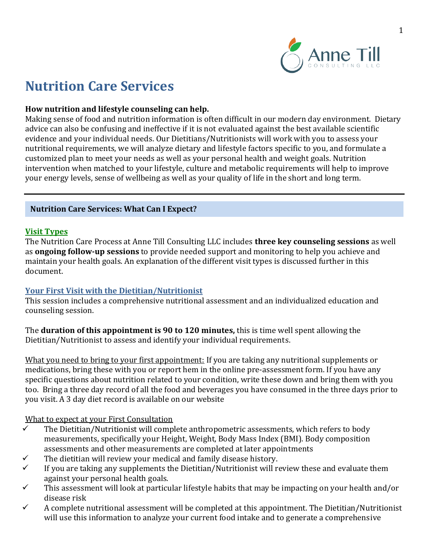

# **Nutrition Care Services**

#### **How nutrition and lifestyle counseling can help.**

Making sense of food and nutrition information is often difficult in our modern day environment. Dietary advice can also be confusing and ineffective if it is not evaluated against the best available scientific evidence and your individual needs. Our Dietitians/Nutritionists will work with you to assess your nutritional requirements, we will analyze dietary and lifestyle factors specific to you, and formulate a customized plan to meet your needs as well as your personal health and weight goals. Nutrition intervention when matched to your lifestyle, culture and metabolic requirements will help to improve your energy levels, sense of wellbeing as well as your quality of life in the short and long term.

#### **Nutrition Care Services: What Can I Expect?**

#### **Visit Types**

The Nutrition Care Process at Anne Till Consulting LLC includes **three key counseling sessions** as well as **ongoing follow-up sessions** to provide needed support and monitoring to help you achieve and maintain your health goals. An explanation of the different visit types is discussed further in this document.

#### **Your First Visit with the Dietitian/Nutritionist**

This session includes a comprehensive nutritional assessment and an individualized education and counseling session.

The **duration of this appointment is 90 to 120 minutes,** this is time well spent allowing the Dietitian/Nutritionist to assess and identify your individual requirements.

What you need to bring to your first appointment: If you are taking any nutritional supplements or medications, bring these with you or report hem in the online pre-assessment form. If you have any specific questions about nutrition related to your condition, write these down and bring them with you too. Bring a three day record of all the food and beverages you have consumed in the three days prior to you visit. A 3 day diet record is available on our website

#### What to expect at your First Consultation

- ✓ The Dietitian/Nutritionist will complete anthropometric assessments, which refers to body measurements, specifically your Height, Weight, Body Mass Index (BMI). Body composition assessments and other measurements are completed at later appointments
- $\checkmark$  The dietitian will review your medical and family disease history.
- $\checkmark$  If you are taking any supplements the Dietitian/Nutritionist will review these and evaluate them against your personal health goals.
- $\checkmark$  This assessment will look at particular lifestyle habits that may be impacting on your health and/or disease risk
- $\checkmark$  A complete nutritional assessment will be completed at this appointment. The Dietitian/Nutritionist will use this information to analyze your current food intake and to generate a comprehensive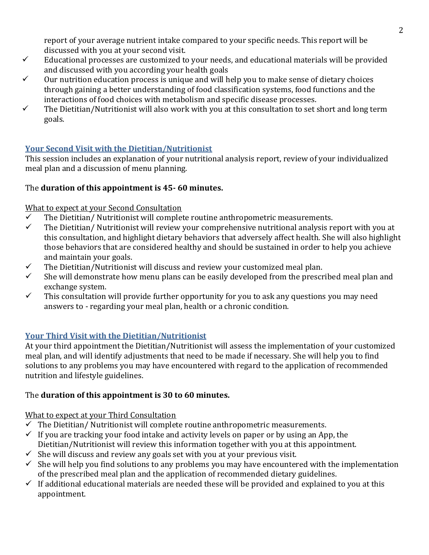report of your average nutrient intake compared to your specific needs. This report will be discussed with you at your second visit.

- $\checkmark$  Educational processes are customized to your needs, and educational materials will be provided and discussed with you according your health goals
- $\checkmark$  Our nutrition education process is unique and will help you to make sense of dietary choices through gaining a better understanding of food classification systems, food functions and the interactions of food choices with metabolism and specific disease processes.
- $\checkmark$  The Dietitian/Nutritionist will also work with you at this consultation to set short and long term goals.

# **Your Second Visit with the Dietitian/Nutritionist**

This session includes an explanation of your nutritional analysis report, review of your individualized meal plan and a discussion of menu planning.

### The **duration of this appointment is 45- 60 minutes.**

### What to expect at your Second Consultation

- $\checkmark$  The Dietitian/Nutritionist will complete routine anthropometric measurements.
- $\checkmark$  The Dietitian/ Nutritionist will review your comprehensive nutritional analysis report with you at this consultation, and highlight dietary behaviors that adversely affect health. She will also highlight those behaviors that are considered healthy and should be sustained in order to help you achieve and maintain your goals.
- $\checkmark$  The Dietitian/Nutritionist will discuss and review your customized meal plan.
- $\checkmark$  She will demonstrate how menu plans can be easily developed from the prescribed meal plan and exchange system.
- $\checkmark$  This consultation will provide further opportunity for you to ask any questions you may need answers to - regarding your meal plan, health or a chronic condition.

# **Your Third Visit with the Dietitian/Nutritionist**

At your third appointment the Dietitian/Nutritionist will assess the implementation of your customized meal plan, and will identify adjustments that need to be made if necessary. She will help you to find solutions to any problems you may have encountered with regard to the application of recommended nutrition and lifestyle guidelines.

# The **duration of this appointment is 30 to 60 minutes.**

# What to expect at your Third Consultation

- $\checkmark$  The Dietitian/Nutritionist will complete routine anthropometric measurements.
- $\checkmark$  If you are tracking your food intake and activity levels on paper or by using an App, the Dietitian/Nutritionist will review this information together with you at this appointment.
- $\checkmark$  She will discuss and review any goals set with you at your previous visit.
- $\checkmark$  She will help you find solutions to any problems you may have encountered with the implementation of the prescribed meal plan and the application of recommended dietary guidelines.
- $\checkmark$  If additional educational materials are needed these will be provided and explained to you at this appointment.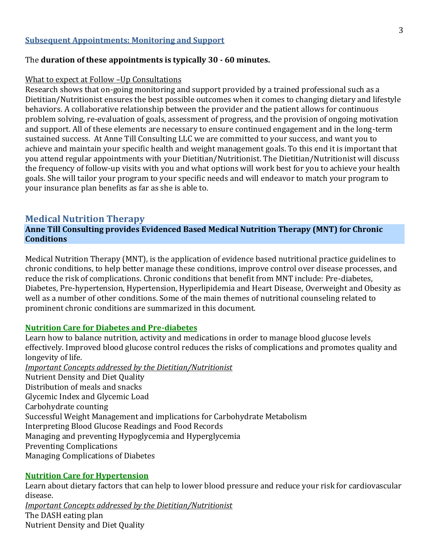#### **Subsequent Appointments: Monitoring and Support**

#### The **duration of these appointments is typically 30 - 60 minutes.**

#### What to expect at Follow –Up Consultations

Research shows that on-going monitoring and support provided by a trained professional such as a Dietitian/Nutritionist ensures the best possible outcomes when it comes to changing dietary and lifestyle behaviors. A collaborative relationship between the provider and the patient allows for continuous problem solving, re-evaluation of goals, assessment of progress, and the provision of ongoing motivation and support. All of these elements are necessary to ensure continued engagement and in the long-term sustained success. At Anne Till Consulting LLC we are committed to your success, and want you to achieve and maintain your specific health and weight management goals. To this end it is important that you attend regular appointments with your Dietitian/Nutritionist. The Dietitian/Nutritionist will discuss the frequency of follow-up visits with you and what options will work best for you to achieve your health goals. She will tailor your program to your specific needs and will endeavor to match your program to your insurance plan benefits as far as she is able to.

#### **Medical Nutrition Therapy**

**Anne Till Consulting provides Evidenced Based Medical Nutrition Therapy (MNT) for Chronic Conditions**

Medical Nutrition Therapy (MNT), is the application of evidence based nutritional practice guidelines to chronic conditions, to help better manage these conditions, improve control over disease processes, and reduce the risk of complications. Chronic conditions that benefit from MNT include: Pre-diabetes, Diabetes, Pre-hypertension, Hypertension, Hyperlipidemia and Heart Disease, Overweight and Obesity as well as a number of other conditions. Some of the main themes of nutritional counseling related to prominent chronic conditions are summarized in this document.

#### **Nutrition Care for Diabetes and Pre-diabetes**

Learn how to balance nutrition, activity and medications in order to manage blood glucose levels effectively. Improved blood glucose control reduces the risks of complications and promotes quality and longevity of life.

*Important Concepts addressed by the Dietitian/Nutritionist*  Nutrient Density and Diet Quality Distribution of meals and snacks Glycemic Index and Glycemic Load Carbohydrate counting Successful Weight Management and implications for Carbohydrate Metabolism

Interpreting Blood Glucose Readings and Food Records

Managing and preventing Hypoglycemia and Hyperglycemia

Preventing Complications

Managing Complications of Diabetes

#### **Nutrition Care for Hypertension**

Learn about dietary factors that can help to lower blood pressure and reduce your risk for cardiovascular disease. *Important Concepts addressed by the Dietitian/Nutritionist* 

The DASH eating plan Nutrient Density and Diet Quality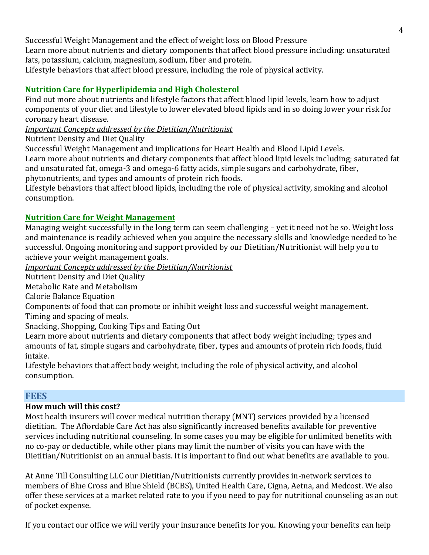Successful Weight Management and the effect of weight loss on Blood Pressure Learn more about nutrients and dietary components that affect blood pressure including: unsaturated fats, potassium, calcium, magnesium, sodium, fiber and protein.

Lifestyle behaviors that affect blood pressure, including the role of physical activity.

# **Nutrition Care for Hyperlipidemia and High Cholesterol**

Find out more about nutrients and lifestyle factors that affect blood lipid levels, learn how to adjust components of your diet and lifestyle to lower elevated blood lipids and in so doing lower your risk for coronary heart disease.

*Important Concepts addressed by the Dietitian/Nutritionist* 

Nutrient Density and Diet Quality

Successful Weight Management and implications for Heart Health and Blood Lipid Levels. Learn more about nutrients and dietary components that affect blood lipid levels including; saturated fat

and unsaturated fat, omega-3 and omega-6 fatty acids, simple sugars and carbohydrate, fiber, phytonutrients, and types and amounts of protein rich foods.

Lifestyle behaviors that affect blood lipids, including the role of physical activity, smoking and alcohol consumption.

# **Nutrition Care for Weight Management**

Managing weight successfully in the long term can seem challenging – yet it need not be so. Weight loss and maintenance is readily achieved when you acquire the necessary skills and knowledge needed to be successful. Ongoing monitoring and support provided by our Dietitian/Nutritionist will help you to achieve your weight management goals.

*Important Concepts addressed by the Dietitian/Nutritionist* 

Nutrient Density and Diet Quality

Metabolic Rate and Metabolism

Calorie Balance Equation

Components of food that can promote or inhibit weight loss and successful weight management. Timing and spacing of meals.

Snacking, Shopping, Cooking Tips and Eating Out

Learn more about nutrients and dietary components that affect body weight including; types and amounts of fat, simple sugars and carbohydrate, fiber, types and amounts of protein rich foods, fluid intake.

Lifestyle behaviors that affect body weight, including the role of physical activity, and alcohol consumption.

# **FEES**

# **How much will this cost?**

Most health insurers will cover medical nutrition therapy (MNT) services provided by a licensed dietitian. The Affordable Care Act has also significantly increased benefits available for preventive services including nutritional counseling. In some cases you may be eligible for unlimited benefits with no co-pay or deductible, while other plans may limit the number of visits you can have with the Dietitian/Nutritionist on an annual basis. It is important to find out what benefits are available to you.

At Anne Till Consulting LLC our Dietitian/Nutritionists currently provides in-network services to members of Blue Cross and Blue Shield (BCBS), United Health Care, Cigna, Aetna, and Medcost. We also offer these services at a market related rate to you if you need to pay for nutritional counseling as an out of pocket expense.

If you contact our office we will verify your insurance benefits for you. Knowing your benefits can help